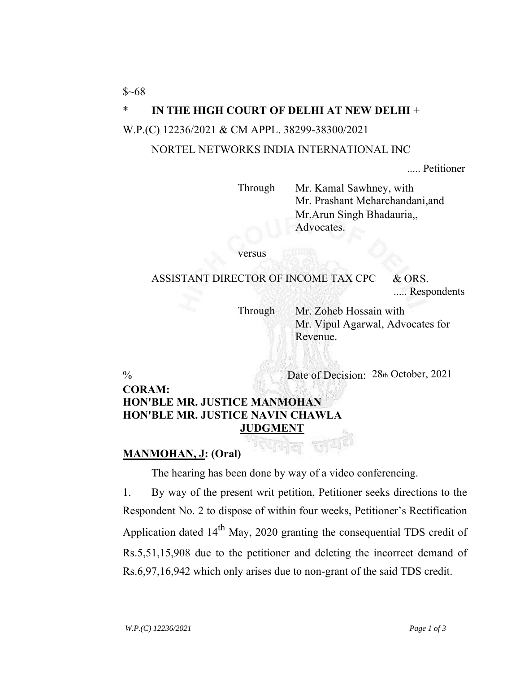$$~68$ 

## \* **IN THE HIGH COURT OF DELHI AT NEW DELHI** +

#### W.P.(C) 12236/2021 & CM APPL. 38299-38300/2021

#### NORTEL NETWORKS INDIA INTERNATIONAL INC

..... Petitioner

Through Mr. Kamal Sawhney, with Mr. Prashant Meharchandani,and Mr.Arun Singh Bhadauria,, Advocates.

versus

ASSISTANT DIRECTOR OF INCOME TAX CPC & ORS.

..... Respondents

Through Mr. Zoheb Hossain with Mr. Vipul Agarwal, Advocates for Revenue.

% Date of Decision: 28th October, 2021

### **CORAM: HON'BLE MR. JUSTICE MANMOHAN HON'BLE MR. JUSTICE NAVIN CHAWLA JUDGMENT**

### **MANMOHAN, J: (Oral)**

The hearing has been done by way of a video conferencing.

1. By way of the present writ petition, Petitioner seeks directions to the Respondent No. 2 to dispose of within four weeks, Petitioner's Rectification Application dated  $14<sup>th</sup>$  May, 2020 granting the consequential TDS credit of Rs.5,51,15,908 due to the petitioner and deleting the incorrect demand of Rs.6,97,16,942 which only arises due to non-grant of the said TDS credit.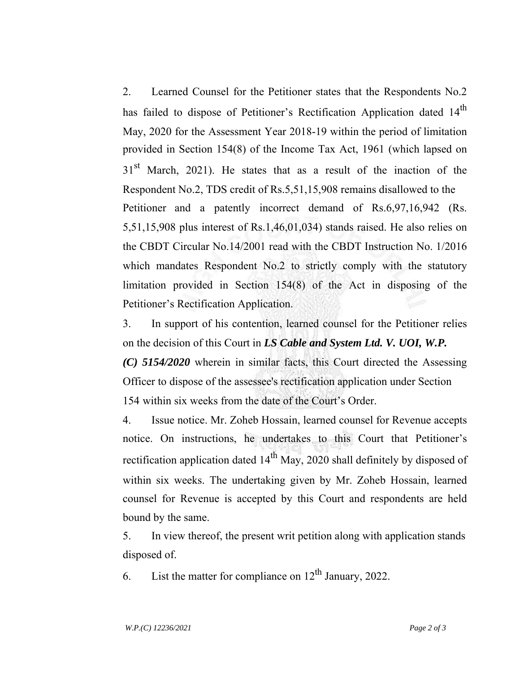2. Learned Counsel for the Petitioner states that the Respondents No.2 has failed to dispose of Petitioner's Rectification Application dated 14<sup>th</sup> May, 2020 for the Assessment Year 2018-19 within the period of limitation provided in Section 154(8) of the Income Tax Act, 1961 (which lapsed on  $31<sup>st</sup>$  March, 2021). He states that as a result of the inaction of the Respondent No.2, TDS credit of Rs.5,51,15,908 remains disallowed to the Petitioner and a patently incorrect demand of Rs.6,97,16,942 (Rs. 5,51,15,908 plus interest of Rs.1,46,01,034) stands raised. He also relies on the CBDT Circular No.14/2001 read with the CBDT Instruction No. 1/2016 which mandates Respondent No.2 to strictly comply with the statutory limitation provided in Section 154(8) of the Act in disposing of the Petitioner's Rectification Application.

3. In support of his contention, learned counsel for the Petitioner relies on the decision of this Court in *LS Cable and System Ltd. V. UOI, W.P.*

*(C) 5154/2020* wherein in similar facts, this Court directed the Assessing Officer to dispose of the assessee's rectification application under Section 154 within six weeks from the date of the Court's Order.

4. Issue notice. Mr. Zoheb Hossain, learned counsel for Revenue accepts notice. On instructions, he undertakes to this Court that Petitioner's rectification application dated  $14<sup>th</sup>$  May, 2020 shall definitely by disposed of within six weeks. The undertaking given by Mr. Zoheb Hossain, learned counsel for Revenue is accepted by this Court and respondents are held bound by the same.

5. In view thereof, the present writ petition along with application stands disposed of.

6. List the matter for compliance on  $12<sup>th</sup>$  January, 2022.